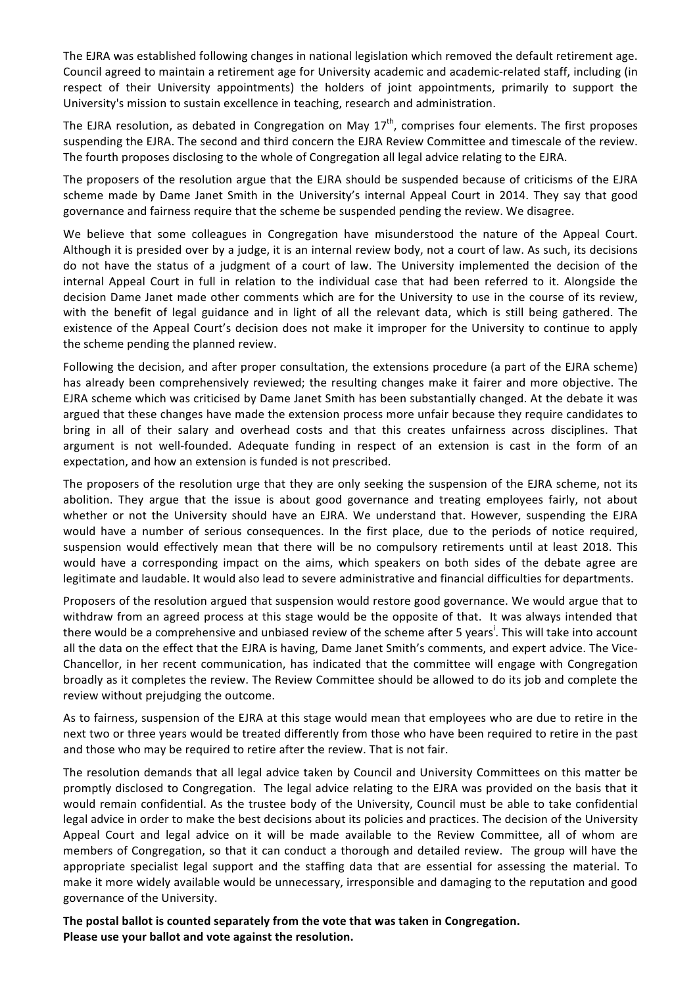The EJRA was established following changes in national legislation which removed the default retirement age. Council agreed to maintain a retirement age for University academic and academic-related staff, including (in respect of their University appointments) the holders of joint appointments, primarily to support the University's mission to sustain excellence in teaching, research and administration.

The EJRA resolution, as debated in Congregation on May  $17<sup>th</sup>$ , comprises four elements. The first proposes suspending the EJRA. The second and third concern the EJRA Review Committee and timescale of the review. The fourth proposes disclosing to the whole of Congregation all legal advice relating to the EJRA.

The proposers of the resolution argue that the EJRA should be suspended because of criticisms of the EJRA scheme made by Dame Janet Smith in the University's internal Appeal Court in 2014. They say that good governance and fairness require that the scheme be suspended pending the review. We disagree.

We believe that some colleagues in Congregation have misunderstood the nature of the Appeal Court. Although it is presided over by a judge, it is an internal review body, not a court of law. As such, its decisions do not have the status of a judgment of a court of law. The University implemented the decision of the internal Appeal Court in full in relation to the individual case that had been referred to it. Alongside the decision Dame Janet made other comments which are for the University to use in the course of its review, with the benefit of legal guidance and in light of all the relevant data, which is still being gathered. The existence of the Appeal Court's decision does not make it improper for the University to continue to apply the scheme pending the planned review.

Following the decision, and after proper consultation, the extensions procedure (a part of the EJRA scheme) has already been comprehensively reviewed; the resulting changes make it fairer and more objective. The EJRA scheme which was criticised by Dame Janet Smith has been substantially changed. At the debate it was argued that these changes have made the extension process more unfair because they require candidates to bring in all of their salary and overhead costs and that this creates unfairness across disciplines. That argument is not well-founded. Adequate funding in respect of an extension is cast in the form of an expectation, and how an extension is funded is not prescribed.

The proposers of the resolution urge that they are only seeking the suspension of the EJRA scheme, not its abolition. They argue that the issue is about good governance and treating employees fairly, not about whether or not the University should have an EJRA. We understand that. However, suspending the EJRA would have a number of serious consequences. In the first place, due to the periods of notice required, suspension would effectively mean that there will be no compulsory retirements until at least 2018. This would have a corresponding impact on the aims, which speakers on both sides of the debate agree are legitimate and laudable. It would also lead to severe administrative and financial difficulties for departments.

Proposers of the resolution argued that suspension would restore good governance. We would argue that to withdraw from an agreed process at this stage would be the opposite of that. It was always intended that there would be a comprehensive and unbiased review of the scheme after 5 years<sup>i</sup>. This will take into account all the data on the effect that the EJRA is having, Dame Janet Smith's comments, and expert advice. The Vice-Chancellor, in her recent communication, has indicated that the committee will engage with Congregation broadly as it completes the review. The Review Committee should be allowed to do its job and complete the review without prejudging the outcome.

As to fairness, suspension of the EJRA at this stage would mean that employees who are due to retire in the next two or three years would be treated differently from those who have been required to retire in the past and those who may be required to retire after the review. That is not fair.

The resolution demands that all legal advice taken by Council and University Committees on this matter be promptly disclosed to Congregation. The legal advice relating to the EJRA was provided on the basis that it would remain confidential. As the trustee body of the University, Council must be able to take confidential legal advice in order to make the best decisions about its policies and practices. The decision of the University Appeal Court and legal advice on it will be made available to the Review Committee, all of whom are members of Congregation, so that it can conduct a thorough and detailed review. The group will have the appropriate specialist legal support and the staffing data that are essential for assessing the material. To make it more widely available would be unnecessary, irresponsible and damaging to the reputation and good governance of the University.

The postal ballot is counted separately from the vote that was taken in Congregation. Please use your ballot and vote against the resolution.